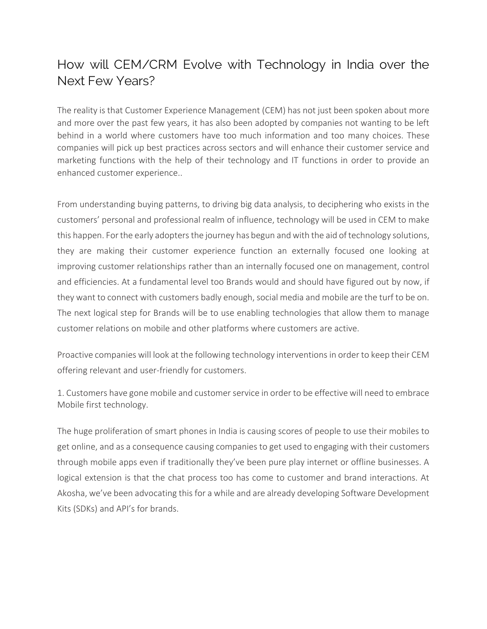## How will CEM/CRM Evolve with Technology in India over the Next Few Years?

The reality is that Customer Experience Management (CEM) has not just been spoken about more and more over the past few years, it has also been adopted by companies not wanting to be left behind in a world where customers have too much information and too many choices. These companies will pick up best practices across sectors and will enhance their customer service and marketing functions with the help of their technology and IT functions in order to provide an enhanced customer experience..

From understanding buying patterns, to driving big data analysis, to deciphering who exists in the customers' personal and professional realm of influence, technology will be used in CEM to make this happen. For the early adopters the journey has begun and with the aid of technology solutions, they are making their customer experience function an externally focused one looking at improving customer relationships rather than an internally focused one on management, control and efficiencies. At a fundamental level too Brands would and should have figured out by now, if they want to connect with customers badly enough, social media and mobile are the turf to be on. The next logical step for Brands will be to use enabling technologies that allow them to manage customer relations on mobile and other platforms where customers are active.

Proactive companies will look at the following technology interventions in order to keep their CEM offering relevant and user-friendly for customers.

1. Customers have gone mobile and customer service in order to be effective will need to embrace Mobile first technology.

The huge proliferation of smart phones in India is causing scores of people to use their mobiles to get online, and as a consequence causing companies to get used to engaging with their customers through mobile apps even if traditionally they've been pure play internet or offline businesses. A logical extension is that the chat process too has come to customer and brand interactions. At Akosha, we've been advocating this for a while and are already developing Software Development Kits (SDKs) and API's for brands.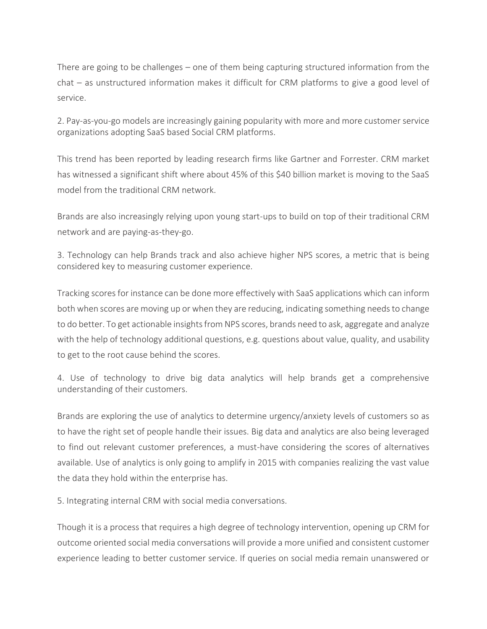There are going to be challenges – one of them being capturing structured information from the chat – as unstructured information makes it difficult for CRM platforms to give a good level of service.

2. Pay-as-you-go models are increasingly gaining popularity with more and more customer service organizations adopting SaaS based Social CRM platforms.

This trend has been reported by leading research firms like Gartner and Forrester. CRM market has witnessed a significant shift where about 45% of this \$40 billion market is moving to the SaaS model from the traditional CRM network.

Brands are also increasingly relying upon young start-ups to build on top of their traditional CRM network and are paying-as-they-go.

3. Technology can help Brands track and also achieve higher NPS scores, a metric that is being considered key to measuring customer experience.

Tracking scores for instance can be done more effectively with SaaS applications which can inform both when scores are moving up or when they are reducing, indicating something needs to change to do better. To get actionable insights from NPS scores, brands need to ask, aggregate and analyze with the help of technology additional questions, e.g. questions about value, quality, and usability to get to the root cause behind the scores.

4. Use of technology to drive big data analytics will help brands get a comprehensive understanding of their customers.

Brands are exploring the use of analytics to determine urgency/anxiety levels of customers so as to have the right set of people handle their issues. Big data and analytics are also being leveraged to find out relevant customer preferences, a must-have considering the scores of alternatives available. Use of analytics is only going to amplify in 2015 with companies realizing the vast value the data they hold within the enterprise has.

5. Integrating internal CRM with social media conversations.

Though it is a process that requires a high degree of technology intervention, opening up CRM for outcome oriented social media conversations will provide a more unified and consistent customer experience leading to better customer service. If queries on social media remain unanswered or